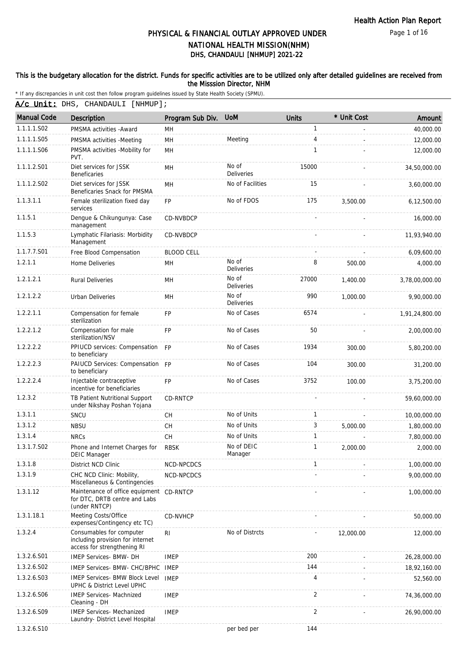Page 1 of 16

# DHS, CHANDAULI [NHMUP] 2021-22 PHYSICAL & FINANCIAL OUTLAY APPROVED UNDER NATIONAL HEALTH MISSION(NHM)

### This is the budgetary allocation for the district. Funds for specific activities are to be utilized only after detailed guidelines are received from the Misssion Director, NHM

\* If any discrepancies in unit cost then follow program guidelines issued by State Health Society (SPMU).

A/c Unit: DHS, CHANDAULI [NHMUP];

| <b>Manual Code</b> | Description                                                                                 | Program Sub Div.  | <b>UoM</b>                 | <b>Units</b> | * Unit Cost | Amount         |
|--------------------|---------------------------------------------------------------------------------------------|-------------------|----------------------------|--------------|-------------|----------------|
| 1.1.1.1.S02        | PMSMA activities - Award                                                                    | MН                |                            | 1            |             | 40,000.00      |
| 1.1.1.1.S05        | PMSMA activities -Meeting                                                                   | MH                | Meeting                    | 4            |             | 12,000.00      |
| 1.1.1.1.S06        | PMSMA activities -Mobility for<br>PVT.                                                      | MН                |                            | 1            |             | 12,000.00      |
| 1.1.1.2.S01        | Diet services for JSSK<br><b>Beneficaries</b>                                               | MH                | No of<br><b>Deliveries</b> | 15000        |             | 34,50,000.00   |
| 1.1.1.2.S02        | Diet services for JSSK<br>Beneficaries Snack for PMSMA                                      | MН                | No of Facilities           | 15           |             | 3,60,000.00    |
| 1.1.3.1.1          | Female sterilization fixed day<br>services                                                  | FP                | No of FDOS                 | 175          | 3,500.00    | 6,12,500.00    |
| 1.1.5.1            | Dengue & Chikungunya: Case<br>management                                                    | CD-NVBDCP         |                            |              |             | 16,000.00      |
| 1.1.5.3            | Lymphatic Filariasis: Morbidity<br>Management                                               | CD-NVBDCP         |                            |              |             | 11,93,940.00   |
| 1.1.7.7.S01        | Free Blood Compensation                                                                     | <b>BLOOD CELL</b> |                            |              |             | 6,09,600.00    |
| 1.2.1.1            | Home Deliveries                                                                             | MН                | No of<br><b>Deliveries</b> | 8            | 500.00      | 4,000.00       |
| 1.2.1.2.1          | <b>Rural Deliveries</b>                                                                     | MН                | No of<br>Deliveries        | 27000        | 1,400.00    | 3,78,00,000.00 |
| 1.2.1.2.2          | <b>Urban Deliveries</b>                                                                     | MH                | No of<br>Deliveries        | 990          | 1.000.00    | 9,90,000.00    |
| 1.2.2.1.1          | Compensation for female<br>sterilization                                                    | <b>FP</b>         | No of Cases                | 6574         |             | 1,91,24,800.00 |
| 1.2.2.1.2          | Compensation for male<br>sterilization/NSV                                                  | <b>FP</b>         | No of Cases                | 50           |             | 2,00,000.00    |
| 1.2.2.2.2          | PPIUCD services: Compensation FP<br>to beneficiary                                          |                   | No of Cases                | 1934         | 300.00      | 5,80,200.00    |
| 1.2.2.2.3          | PAIUCD Services: Compensation FP<br>to beneficiary                                          |                   | No of Cases                | 104          | 300.00      | 31,200.00      |
| 1.2.2.2.4          | Injectable contraceptive<br>incentive for beneficiaries                                     | <b>FP</b>         | No of Cases                | 3752         | 100.00      | 3,75,200.00    |
| 1.2.3.2            | TB Patient Nutritional Support<br>under Nikshay Poshan Yojana                               | <b>CD-RNTCP</b>   |                            |              |             | 59,60,000.00   |
| 1.3.1.1            | SNCU                                                                                        | <b>CH</b>         | No of Units                | $\mathbf{1}$ |             | 10,00,000.00   |
| 1.3.1.2            | <b>NBSU</b>                                                                                 | CH                | No of Units                | 3            | 5,000.00    | 1,80,000.00    |
| 1.3.1.4            | <b>NRCs</b>                                                                                 | <b>CH</b>         | No of Units                | 1            |             | 7,80,000.00    |
| 1.3.1.7.S02        | Phone and Internet Charges for<br>DEIC Manager                                              | <b>RBSK</b>       | No of DEIC<br>Manager      | 1            | 2.000.00    | 2,000.00       |
| 1.3.1.8            | District NCD Clinic                                                                         | NCD-NPCDCS        |                            | 1            |             | 1,00,000.00    |
| 1.3.1.9            | CHC NCD Clinic: Mobility,<br>Miscellaneous & Contingencies                                  | NCD-NPCDCS        |                            |              |             | 9,00,000.00    |
| 1.3.1.12           | Maintenance of office equipment<br>for DTC, DRTB centre and Labs<br>(under RNTCP)           | CD-RNTCP          |                            |              |             | 1,00,000.00    |
| 1.3.1.18.1         | Meeting Costs/Office<br>expenses/Contingency etc TC)                                        | CD-NVHCP          |                            |              |             | 50,000.00      |
| 1.3.2.4            | Consumables for computer<br>including provision for internet<br>access for strengthening RI | R <sub>l</sub>    | No of Distrcts             |              | 12,000.00   | 12,000.00      |
| 1.3.2.6.S01        | IMEP Services- BMW- DH                                                                      | <b>IMEP</b>       |                            | 200          |             | 26,28,000.00   |
| 1.3.2.6.S02        | IMEP Services- BMW- CHC/BPHC IMEP                                                           |                   |                            | 144          |             | 18,92,160.00   |
| 1.3.2.6.S03        | <b>IMEP Services- BMW Block Level</b><br>UPHC & District Level UPHC                         | <b>IMEP</b>       |                            | 4            |             | 52,560.00      |
| 1.3.2.6.S06        | <b>IMEP Services- Machnized</b><br>Cleaning - DH                                            | <b>IMEP</b>       |                            | 2            |             | 74,36,000.00   |
| 1.3.2.6.S09        | <b>IMEP Services- Mechanized</b><br>Laundry- District Level Hospital                        | <b>IMEP</b>       |                            | 2            |             | 26,90,000.00   |
| 1.3.2.6.S10        |                                                                                             |                   | per bed per                | 144          |             |                |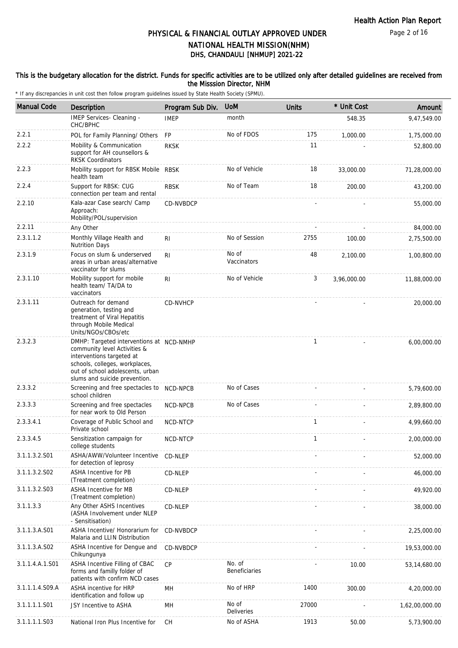### This is the budgetary allocation for the district. Funds for specific activities are to be utilized only after detailed guidelines are received from the Misssion Director, NHM

| <b>Manual Code</b> | Description                                                                                                                                                                                                  | Program Sub Div. | <b>UoM</b>              | <b>Units</b> | * Unit Cost | Amount         |
|--------------------|--------------------------------------------------------------------------------------------------------------------------------------------------------------------------------------------------------------|------------------|-------------------------|--------------|-------------|----------------|
|                    | IMEP Services- Cleaning -<br>CHC/BPHC                                                                                                                                                                        | <b>IMEP</b>      | month                   |              | 548.35      | 9,47,549.00    |
| 2.2.1              | POL for Family Planning/ Others                                                                                                                                                                              | <b>FP</b>        | No of FDOS              | 175          | 1,000.00    | 1,75,000.00    |
| 2.2.2              | Mobility & Communication<br>support for AH counsellors &<br><b>RKSK Coordinators</b>                                                                                                                         | <b>RKSK</b>      |                         | 11           |             | 52,800.00      |
| 2.2.3              | Mobility support for RBSK Mobile RBSK<br>health team                                                                                                                                                         |                  | No of Vehicle           | 18           | 33,000.00   | 71,28,000.00   |
| 2.2.4              | Support for RBSK: CUG<br>connection per team and rental                                                                                                                                                      | <b>RBSK</b>      | No of Team              | 18           | 200.00      | 43,200.00      |
| 2.2.10             | Kala-azar Case search/ Camp<br>Approach:<br>Mobility/POL/supervision                                                                                                                                         | CD-NVBDCP        |                         |              |             | 55,000.00      |
| 2.2.11             | Any Other                                                                                                                                                                                                    |                  |                         |              |             | 84,000.00      |
| 2.3.1.1.2          | Monthly Village Health and<br><b>Nutrition Days</b>                                                                                                                                                          | R <sub>1</sub>   | No of Session           | 2755         | 100.00      | 2,75,500.00    |
| 2.3.1.9            | Focus on slum & underserved<br>areas in urban areas/alternative<br>vaccinator for slums                                                                                                                      | R <sub>l</sub>   | No of<br>Vaccinators    | 48           | 2,100.00    | 1,00,800.00    |
| 2.3.1.10           | Mobility support for mobile<br>health team/ TA/DA to<br>vaccinators                                                                                                                                          | RI.              | No of Vehicle           | 3            | 3,96,000.00 | 11,88,000.00   |
| 2.3.1.11           | Outreach for demand<br>generation, testing and<br>treatment of Viral Hepatitis<br>through Mobile Medical<br>Units/NGOs/CBOs/etc                                                                              | <b>CD-NVHCP</b>  |                         |              |             | 20,000.00      |
| 2.3.2.3            | DMHP: Targeted interventions at NCD-NMHP<br>community level Activities &<br>interventions targeted at<br>schools, colleges, workplaces,<br>out of school adolescents, urban<br>slums and suicide prevention. |                  |                         | 1            |             | 6,00,000.00    |
| 2.3.3.2            | Screening and free spectacles to NCD-NPCB<br>school children                                                                                                                                                 |                  | No of Cases             |              |             | 5,79,600.00    |
| 2.3.3.3            | Screening and free spectacles<br>for near work to Old Person                                                                                                                                                 | NCD-NPCB         | No of Cases             |              |             | 2,89,800.00    |
| 2.3.3.4.1          | Coverage of Public School and<br>Private school                                                                                                                                                              | NCD-NTCP         |                         | 1            |             | 4,99,660.00    |
| 2.3.3.4.5          | Sensitization campaign for<br>college students                                                                                                                                                               | NCD-NTCP         |                         | 1            |             | 2,00,000.00    |
| 3.1.1.3.2.S01      | ASHA/AWW/Volunteer Incentive<br>for detection of leprosy                                                                                                                                                     | CD-NLEP          |                         |              |             | 52,000.00      |
| 3.1.1.3.2.S02      | ASHA Incentive for PB<br>(Treatment completion)                                                                                                                                                              | CD-NLEP          |                         |              |             | 46,000.00      |
| 3.1.1.3.2.S03      | ASHA Incentive for MB<br>(Treatment completion)                                                                                                                                                              | CD-NLEP          |                         |              |             | 49,920.00      |
| 3.1.1.3.3          | Any Other ASHS Incentives<br>(ASHA Involvement under NLEP<br>- Sensitisation)                                                                                                                                | CD-NLEP          |                         |              |             | 38,000.00      |
| 3.1.1.3.A.S01      | ASHA Incentive/ Honorarium for<br>Malaria and LLIN Distribution                                                                                                                                              | CD-NVBDCP        |                         |              |             | 2,25,000.00    |
| 3.1.1.3.A.S02      | ASHA Incentive for Dengue and<br>Chikungunya                                                                                                                                                                 | CD-NVBDCP        |                         |              |             | 19,53,000.00   |
| 3.1.1.4.A.1.S01    | ASHA Incentive Filling of CBAC<br>forms and familly folder of<br>patients with confirm NCD cases                                                                                                             | CP               | No. of<br>Beneficiaries |              | 10.00       | 53,14,680.00   |
| 3.1.1.1.4.S09.A    | ASHA incentive for HRP<br>identification and follow up                                                                                                                                                       | MH               | No of HRP               | 1400         | 300.00      | 4,20,000.00    |
| 3.1.1.1.1.S01      | JSY Incentive to ASHA                                                                                                                                                                                        | MН               | No of<br>Deliveries     | 27000        |             | 1,62,00,000.00 |
| 3.1.1.1.1.S03      | National Iron Plus Incentive for                                                                                                                                                                             | CH               | No of ASHA              | 1913         | 50.00       | 5,73,900.00    |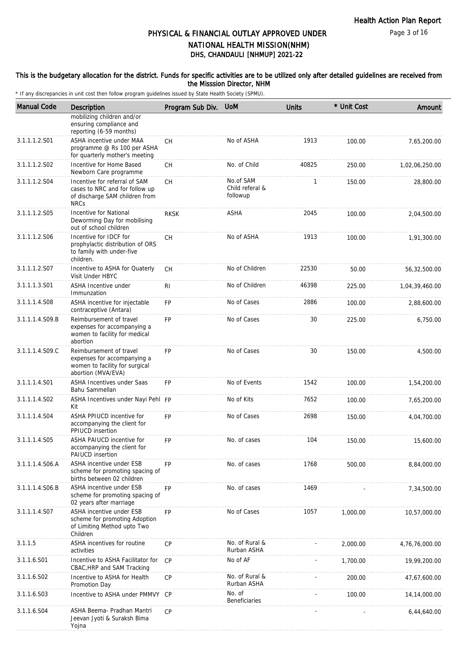### This is the budgetary allocation for the district. Funds for specific activities are to be utilized only after detailed guidelines are received from the Misssion Director, NHM

| <b>Manual Code</b> | Description                                                                                                      | Program Sub Div. | <b>UOM</b>                               | <b>Units</b> | * Unit Cost | Amount         |
|--------------------|------------------------------------------------------------------------------------------------------------------|------------------|------------------------------------------|--------------|-------------|----------------|
|                    | mobilizing children and/or<br>ensuring compliance and<br>reporting (6-59 months)                                 |                  |                                          |              |             |                |
| 3.1.1.1.2.S01      | ASHA incentive under MAA<br>programme @ Rs 100 per ASHA<br>for quarterly mother's meeting                        | <b>CH</b>        | No of ASHA                               | 1913         | 100.00      | 7,65,200.00    |
| 3.1.1.1.2.S02      | Incentive for Home Based<br>Newborn Care programme                                                               | <b>CH</b>        | No. of Child                             | 40825        | 250.00      | 1,02,06,250.00 |
| 3.1.1.1.2.S04      | Incentive for referral of SAM<br>cases to NRC and for follow up<br>of discharge SAM children from<br><b>NRCs</b> | <b>CH</b>        | No.of SAM<br>Child referal &<br>followup | 1            | 150.00      | 28,800.00      |
| 3.1.1.1.2.S05      | Incentive for National<br>Deworming Day for mobilising<br>out of school children                                 | <b>RKSK</b>      | ASHA                                     | 2045         | 100.00      | 2,04,500.00    |
| 3.1.1.1.2.S06      | Incentive for IDCF for<br>prophylactic distribution of ORS<br>to family with under-five<br>children.             | <b>CH</b>        | No of ASHA                               | 1913         | 100.00      | 1,91,300.00    |
| 3.1.1.1.2.S07      | Incentive to ASHA for Quaterly<br>Visit Under HBYC                                                               | CH               | No of Children                           | 22530        | 50.00       | 56,32,500.00   |
| 3.1.1.1.3.S01      | ASHA Incentive under<br>Immunzation                                                                              | R <sub>l</sub>   | No of Children                           | 46398        | 225.00      | 1,04,39,460.00 |
| 3.1.1.1.4.S08      | ASHA incentive for injectable<br>contraceptive (Antara)                                                          | <b>FP</b>        | No of Cases                              | 2886         | 100.00      | 2,88,600.00    |
| 3.1.1.1.4.S09.B    | Reimbursement of travel<br>expenses for accompanying a<br>women to facility for medical<br>abortion              | FP               | No of Cases                              | 30           | 225.00      | 6,750.00       |
| 3.1.1.1.4.S09.C    | Reimbursement of travel<br>expenses for accompanying a<br>women to facility for surgical<br>abortion (MVA/EVA)   | FP               | No of Cases                              | 30           | 150.00      | 4,500.00       |
| 3.1.1.1.4.S01      | ASHA Incentives under Saas<br>Bahu Sammellan                                                                     | FP               | No of Events                             | 1542         | 100.00      | 1,54,200.00    |
| 3.1.1.1.4.S02      | ASHA Incentives under Nayi Pehl FP<br>Kit                                                                        |                  | No of Kits                               | 7652         | 100.00      | 7,65,200.00    |
| 3.1.1.1.4.S04      | ASHA PPIUCD incentive for<br>accompanying the client for<br>PPIUCD insertion                                     | FP               | No of Cases                              | 2698         | 150.00      | 4,04,700.00    |
| 3.1.1.1.4.S05      | ASHA PAIUCD incentive for<br>accompanying the client for<br>PAIUCD insertion                                     | <b>FP</b>        | No. of cases                             | 104          | 150.00      | 15,600.00      |
| 3.1.1.1.4.S06.A    | ASHA incentive under ESB<br>scheme for promoting spacing of<br>births between 02 children                        | <b>FP</b>        | No. of cases                             | 1768         | 500.00      | 8,84,000.00    |
| 3.1.1.1.4.S06.B    | ASHA incentive under ESB<br>scheme for promoting spacing of<br>02 years after marriage                           | <b>FP</b>        | No. of cases                             | 1469         |             | 7,34,500.00    |
| 3.1.1.1.4.S07      | ASHA incentive under ESB<br>scheme for promoting Adoption<br>of Limiting Method upto Two<br>Children             | FP               | No of Cases                              | 1057         | 1,000.00    | 10,57,000.00   |
| 3.1.1.5            | ASHA incentives for routine<br>activities                                                                        | <b>CP</b>        | No. of Rural &<br>Rurban ASHA            |              | 2,000.00    | 4,76,76,000.00 |
| 3.1.1.6.S01        | Incentive to ASHA Facilitator for<br>CBAC, HRP and SAM Tracking                                                  | CP               | No of AF                                 |              | 1,700.00    | 19,99,200.00   |
| 3.1.1.6.S02        | Incentive to ASHA for Health<br>Promotion Day                                                                    | <b>CP</b>        | No. of Rural &<br>Rurban ASHA            |              | 200.00      | 47,67,600.00   |
| 3.1.1.6.S03        | Incentive to ASHA under PMMVY CP                                                                                 |                  | No. of<br><b>Beneficiaries</b>           |              | 100.00      | 14, 14, 000.00 |
| 3.1.1.6.S04        | ASHA Beema- Pradhan Mantri<br>Jeevan Jyoti & Suraksh Bima<br>Yojna                                               | CP               |                                          |              |             | 6,44,640.00    |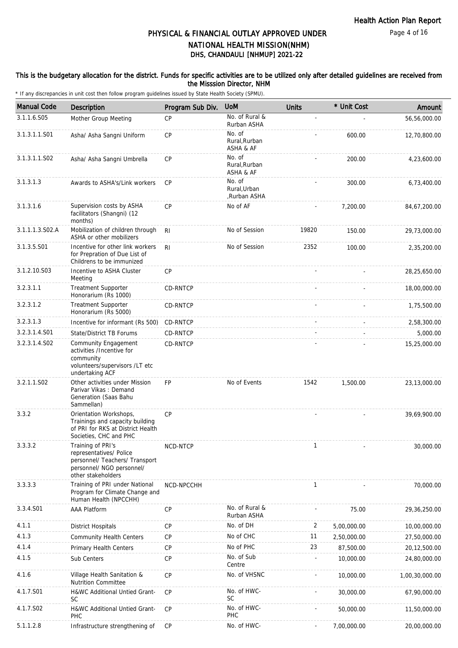### This is the budgetary allocation for the district. Funds for specific activities are to be utilized only after detailed guidelines are received from the Misssion Director, NHM

| <b>Manual Code</b> | <b>Description</b>                                                                                                                | Program Sub Div. | <b>UoM</b>                            | <b>Units</b> | * Unit Cost | Amount         |
|--------------------|-----------------------------------------------------------------------------------------------------------------------------------|------------------|---------------------------------------|--------------|-------------|----------------|
| 3.1.1.6.S05        | Mother Group Meeting                                                                                                              | CP               | No. of Rural &<br>Rurban ASHA         |              |             | 56,56,000.00   |
| 3.1.3.1.1.S01      | Asha/ Asha Sangni Uniform                                                                                                         | CP               | No. of<br>Rural, Rurban<br>ASHA & AF  |              | 600.00      | 12,70,800.00   |
| 3.1.3.1.1.S02      | Asha/ Asha Sangni Umbrella                                                                                                        | CP               | No. of<br>Rural, Rurban<br>ASHA & AF  |              | 200.00      | 4,23,600.00    |
| 3.1.3.1.3          | Awards to ASHA's/Link workers                                                                                                     | <b>CP</b>        | No. of<br>Rural.Urban<br>,Rurban ASHA |              | 300.00      | 6,73,400.00    |
| 3.1.3.1.6          | Supervision costs by ASHA<br>facilitators (Shangni) (12<br>months)                                                                | CP               | No of AF                              |              | 7,200.00    | 84,67,200.00   |
| 3.1.1.1.3.S02.A    | Mobilization of children through<br>ASHA or other mobilizers                                                                      | R <sub>l</sub>   | No of Session                         | 19820        | 150.00      | 29,73,000.00   |
| 3.1.3.5.S01        | Incentive for other link workers<br>for Prepration of Due List of<br>Childrens to be immunized                                    | RI               | No of Session                         | 2352         | 100.00      | 2,35,200.00    |
| 3.1.2.10.S03       | Incentive to ASHA Cluster<br>Meeting                                                                                              | CP               |                                       |              |             | 28,25,650.00   |
| 3.2.3.1.1          | <b>Treatment Supporter</b><br>Honorarium (Rs 1000)                                                                                | CD-RNTCP         |                                       |              |             | 18,00,000.00   |
| 3.2.3.1.2          | <b>Treatment Supporter</b><br>Honorarium (Rs 5000)                                                                                | CD-RNTCP         |                                       |              |             | 1,75,500.00    |
| 3.2.3.1.3          | Incentive for informant (Rs 500)                                                                                                  | CD-RNTCP         |                                       |              |             | 2,58,300.00    |
| 3.2.3.1.4.S01      | State/District TB Forums                                                                                                          | <b>CD-RNTCP</b>  |                                       |              |             | 5,000.00       |
| 3.2.3.1.4.S02      | Community Engagement<br>activities /Incentive for<br>community<br>volunteers/supervisors /LT etc<br>undertaking ACF               | CD-RNTCP         |                                       |              |             | 15,25,000.00   |
| 3.2.1.1.S02        | Other activities under Mission<br>Parivar Vikas: Demand<br>Generation (Saas Bahu<br>Sammellan)                                    | <b>FP</b>        | No of Events                          | 1542         | 1,500.00    | 23,13,000.00   |
| 3.3.2              | Orientation Workshops,<br>Trainings and capacity building<br>of PRI for RKS at District Health<br>Societies, CHC and PHC          | CP               |                                       |              |             | 39,69,900.00   |
| 3.3.3.2            | Training of PRI's<br>representatives/ Police<br>personnel/ Teachers/ Transport<br>personnel/ NGO personnel/<br>other stakeholders | NCD-NTCP         |                                       | T            |             | 30,000.00      |
| 3.3.3.3            | Training of PRI under National<br>Program for Climate Change and<br>Human Health (NPCCHH)                                         | NCD-NPCCHH       |                                       | 1            |             | 70,000.00      |
| 3.3.4.S01          | AAA Platform                                                                                                                      | CP               | No. of Rural &<br>Rurban ASHA         |              | 75.00       | 29,36,250.00   |
| 4.1.1              | <b>District Hospitals</b>                                                                                                         | CP               | No. of DH                             | 2            | 5,00,000.00 | 10,00,000.00   |
| 4.1.3              | <b>Community Health Centers</b>                                                                                                   | CP               | No of CHC                             | 11           | 2,50,000.00 | 27,50,000.00   |
| 4.1.4              | Primary Health Centers                                                                                                            | CP               | No of PHC                             | 23           | 87,500.00   | 20,12,500.00   |
| 4.1.5              | Sub Centers                                                                                                                       | CP               | No. of Sub<br>Centre                  |              | 10,000.00   | 24,80,000.00   |
| 4.1.6              | Village Health Sanitation &<br><b>Nutrition Committee</b>                                                                         | CP               | No. of VHSNC                          |              | 10,000.00   | 1,00,30,000.00 |
| 4.1.7.S01          | H&WC Additional Untied Grant-<br><b>SC</b>                                                                                        | <b>CP</b>        | No. of HWC-<br>SC                     |              | 30,000.00   | 67,90,000.00   |
| 4.1.7.S02          | H&WC Additional Untied Grant-<br><b>PHC</b>                                                                                       | <b>CP</b>        | No. of HWC-<br>PHC                    |              | 50,000.00   | 11,50,000.00   |
| 5.1.1.2.8          | Infrastructure strengthening of                                                                                                   | CP               | No. of HWC-                           |              | 7,00,000.00 | 20,00,000.00   |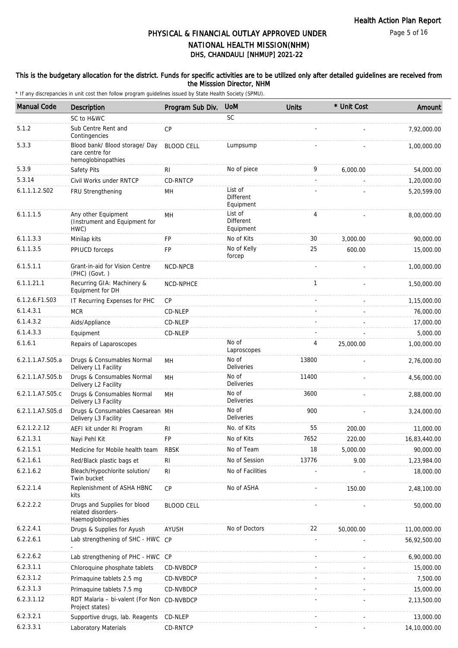### This is the budgetary allocation for the district. Funds for specific activities are to be utilized only after detailed guidelines are received from the Misssion Director, NHM

| <b>Manual Code</b> | <b>Description</b>                                                        | Program Sub Div.  | <b>UoM</b>                        | <b>Units</b>   | * Unit Cost | Amount       |
|--------------------|---------------------------------------------------------------------------|-------------------|-----------------------------------|----------------|-------------|--------------|
|                    | SC to H&WC                                                                |                   | <b>SC</b>                         |                |             |              |
| 5.1.2              | Sub Centre Rent and<br>Contingencies                                      | <b>CP</b>         |                                   |                |             | 7,92,000.00  |
| 5.3.3              | Blood bank/ Blood storage/ Day<br>care centre for<br>hemoglobinopathies   | <b>BLOOD CELL</b> | Lumpsump                          |                |             | 1,00,000.00  |
| 5.3.9              | Safety Pits                                                               | RI                | No of piece                       | 9              | 6,000.00    | 54,000.00    |
| 5.3.14             | Civil Works under RNTCP                                                   | CD-RNTCP          |                                   | $\overline{a}$ |             | 1,20,000.00  |
| 6.1.1.1.2.S02      | FRU Strengthening                                                         | MН                | List of<br>Different<br>Equipment |                |             | 5,20,599.00  |
| 6.1.1.1.5          | Any other Equipment<br>(Instrument and Equipment for<br>HWC)              | MH                | List of<br>Different<br>Equipment | 4              |             | 8,00,000.00  |
| 6.1.1.3.3          | Minilap kits                                                              | <b>FP</b>         | No of Kits                        | 30             | 3,000.00    | 90,000.00    |
| 6.1.1.3.5          | PPIUCD forceps                                                            | FP                | No of Kelly<br>forcep             | 25             | 600.00      | 15,000.00    |
| 6.1.5.1.1          | Grant-in-aid for Vision Centre<br>(PHC) (Govt.)                           | NCD-NPCB          |                                   |                |             | 1,00,000.00  |
| 6.1.1.21.1         | Recurring GIA: Machinery &<br>Equipment for DH                            | NCD-NPHCE         |                                   | $\mathbf{1}$   |             | 1,50,000.00  |
| 6.1.2.6.F1.S03     | IT Recurring Expenses for PHC                                             | CP                |                                   |                |             | 1,15,000.00  |
| 6.1.4.3.1          | <b>MCR</b>                                                                | CD-NLEP           |                                   |                |             | 76,000.00    |
| 6.1.4.3.2          | Aids/Appliance                                                            | CD-NLEP           |                                   |                |             | 17,000.00    |
| 6.1.4.3.3          | Equipment                                                                 | CD-NLEP           |                                   |                |             | 5,000.00     |
| 6.1.6.1            | Repairs of Laparoscopes                                                   |                   | No of<br>Laproscopes              | 4              | 25,000.00   | 1,00,000.00  |
| 6.2.1.1.A7.S05.a   | Drugs & Consumables Normal<br>Delivery L1 Facility                        | MН                | No of<br><b>Deliveries</b>        | 13800          |             | 2,76,000.00  |
| 6.2.1.1.A7.S05.b   | Drugs & Consumables Normal<br>Delivery L2 Facility                        | MН                | No of<br><b>Deliveries</b>        | 11400          |             | 4,56,000.00  |
| 6.2.1.1.A7.S05.c   | Drugs & Consumables Normal<br>Delivery L3 Facility                        | <b>MH</b>         | No of<br><b>Deliveries</b>        | 3600           |             | 2,88,000.00  |
| 6.2.1.1.A7.S05.d   | Drugs & Consumables Caesarean MH<br>Delivery L3 Facility                  |                   | No of<br><b>Deliveries</b>        | 900            |             | 3,24,000.00  |
| 6.2.1.2.2.12       | AEFI kit under RI Program                                                 | <b>RI</b>         | No. of Kits                       | 55             | 200.00      | 11,000.00    |
| 6.2.1.3.1          | Nayi Pehl Kit                                                             | FP                | No of Kits                        | 7652           | 220.00      | 16,83,440.00 |
| 6.2.1.5.1          | Medicine for Mobile health team                                           | <b>RBSK</b>       | No of Team                        | 18             | 5,000.00    | 90,000.00    |
| 6.2.1.6.1          | Red/Black plastic bags et                                                 | <b>RI</b>         | No of Session                     | 13776          | 9.00        | 1,23,984.00  |
| 6.2.1.6.2          | Bleach/Hypochlorite solution/<br>Twin bucket                              | <b>RI</b>         | No of Facilities                  |                |             | 18,000.00    |
| 6.2.2.1.4          | Replenishment of ASHA HBNC<br>kits                                        | <b>CP</b>         | No of ASHA                        |                | 150.00      | 2,48,100.00  |
| 6.2.2.2.2          | Drugs and Supplies for blood<br>related disorders-<br>Haemoglobinopathies | <b>BLOOD CELL</b> |                                   |                |             | 50,000.00    |
| 6.2.2.4.1          | Drugs & Supplies for Ayush                                                | AYUSH             | No of Doctors                     | 22             | 50,000.00   | 11,00,000.00 |
| 6.2.2.6.1          | Lab strengthening of SHC - HWC CP                                         |                   |                                   |                |             | 56,92,500.00 |
| 6.2.2.6.2          | Lab strengthening of PHC - HWC CP                                         |                   |                                   |                |             | 6,90,000.00  |
| 6.2.3.1.1          | Chloroquine phosphate tablets                                             | CD-NVBDCP         |                                   |                |             | 15,000.00    |
| 6.2.3.1.2          | Primaquine tablets 2.5 mg                                                 | CD-NVBDCP         |                                   |                |             | 7,500.00     |
| 6.2.3.1.3          | Primaguine tablets 7.5 mg                                                 | CD-NVBDCP         |                                   |                |             | 15,000.00    |
| 6.2.3.1.12         | RDT Malaria - bi-valent (For Non<br>Project states)                       | CD-NVBDCP         |                                   |                |             | 2,13,500.00  |
| 6.2.3.2.1          | Supportive drugs, lab. Reagents                                           | CD-NLEP           |                                   |                |             | 13,000.00    |
| 6.2.3.3.1          | Laboratory Materials                                                      | CD-RNTCP          |                                   |                |             | 14,10,000.00 |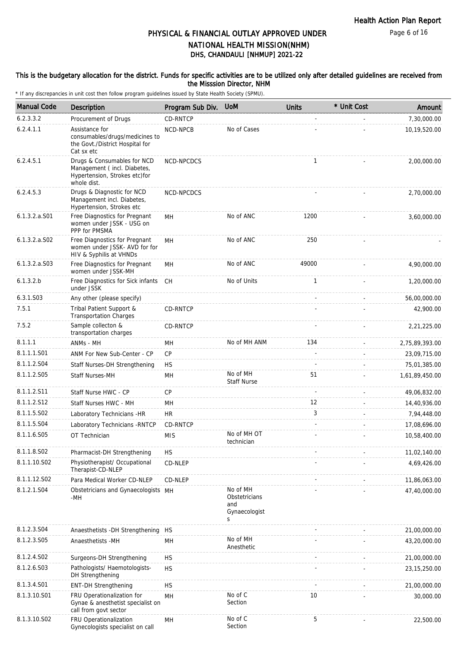Page 6 of 16

# DHS, CHANDAULI [NHMUP] 2021-22 PHYSICAL & FINANCIAL OUTLAY APPROVED UNDER NATIONAL HEALTH MISSION(NHM)

### This is the budgetary allocation for the district. Funds for specific activities are to be utilized only after detailed guidelines are received from the Misssion Director, NHM

| <b>Manual Code</b> | <b>Description</b>                                                                                         | Program Sub Div. | <b>UoM</b>                                             | <b>Units</b> | * Unit Cost | Amount         |
|--------------------|------------------------------------------------------------------------------------------------------------|------------------|--------------------------------------------------------|--------------|-------------|----------------|
| 6.2.3.3.2          | Procurement of Drugs                                                                                       | CD-RNTCP         |                                                        |              |             | 7,30,000.00    |
| 6.2.4.1.1          | Assistance for<br>consumables/drugs/medicines to<br>the Govt./District Hospital for<br>Cat sx etc          | NCD-NPCB         | No of Cases                                            |              |             | 10,19,520.00   |
| 6.2.4.5.1          | Drugs & Consumables for NCD<br>Management (incl. Diabetes,<br>Hypertension, Strokes etc)for<br>whole dist. | NCD-NPCDCS       |                                                        | 1            |             | 2,00,000.00    |
| 6.2.4.5.3          | Drugs & Diagnostic for NCD<br>Management incl. Diabetes,<br>Hypertension, Strokes etc                      | NCD-NPCDCS       |                                                        |              |             | 2,70,000.00    |
| $6.1.3.2.a.$ S01   | Free Diagnostics for Pregnant<br>women under JSSK - USG on<br>PPP for PMSMA                                | MН               | No of ANC                                              | 1200         |             | 3,60,000.00    |
| $6.1.3.2.a.$ SO2   | Free Diagnostics for Pregnant<br>women under JSSK- AVD for for<br>HIV & Syphilis at VHNDs                  | MН               | No of ANC                                              | 250          |             |                |
| $6.1.3.2.a.$ SO3   | Free Diagnostics for Pregnant<br>women under JSSK-MH                                                       | MH               | No of ANC                                              | 49000        |             | 4,90,000.00    |
| 6.1.3.2.b          | Free Diagnostics for Sick infants<br>under JSSK                                                            | CH               | No of Units                                            | 1            |             | 1,20,000.00    |
| 6.3.1.S03          | Any other (please specify)                                                                                 |                  |                                                        |              |             | 56,00,000.00   |
| 7.5.1              | Tribal Patient Support &<br><b>Transportation Charges</b>                                                  | CD-RNTCP         |                                                        |              |             | 42,900.00      |
| 7.5.2              | Sample collecton &<br>transportation charges                                                               | CD-RNTCP         |                                                        |              |             | 2,21,225.00    |
| 8.1.1.1            | ANMs - MH                                                                                                  | MН               | No of MH ANM                                           | 134          |             | 2,75,89,393.00 |
| 8.1.1.1.S01        | ANM For New Sub-Center - CP                                                                                | CP               |                                                        |              |             | 23,09,715.00   |
| 8.1.1.2.S04        | Staff Nurses-DH Strengthening                                                                              | <b>HS</b>        |                                                        |              |             | 75,01,385.00   |
| 8.1.1.2.S05        | <b>Staff Nurses-MH</b>                                                                                     | MH               | No of MH<br><b>Staff Nurse</b>                         | 51           |             | 1,61,89,450.00 |
| 8.1.1.2.S11        | Staff Nurse HWC - CP                                                                                       | CP               |                                                        | $\sim$       |             | 49,06,832.00   |
| 8.1.1.2.S12        | Staff Nurses HWC - MH                                                                                      | MН               |                                                        | 12           |             | 14,40,936.00   |
| 8.1.1.5.S02        | Laboratory Technicians - HR                                                                                | <b>HR</b>        |                                                        | 3            |             | 7,94,448.00    |
| 8.1.1.5.S04        | Laboratory Technicians - RNTCP                                                                             | CD-RNTCP         |                                                        |              |             | 17,08,696.00   |
| 8.1.1.6.S05        | OT Technician                                                                                              | <b>MIS</b>       | No of MH OT<br>technician                              |              |             | 10,58,400.00   |
| 8.1.1.8.S02        | Pharmacist-DH Strengthening                                                                                | <b>HS</b>        |                                                        |              |             | 11,02,140.00   |
| 8.1.1.10.S02       | Physiotherapist/ Occupational<br>Therapist-CD-NLEP                                                         | CD-NLEP          |                                                        |              |             | 4,69,426.00    |
| 8.1.1.12.S02       | Para Medical Worker CD-NLEP                                                                                | CD-NLEP          |                                                        |              |             | 11,86,063.00   |
| 8.1.2.1.S04        | Obstetricians and Gynaecologists MH<br>-MH                                                                 |                  | No of MH<br>Obstetricians<br>and<br>Gynaecologist<br>S |              |             | 47,40,000.00   |
| 8.1.2.3.S04        | Anaesthetists - DH Strengthening                                                                           | <b>HS</b>        |                                                        |              |             | 21,00,000.00   |
| 8.1.2.3.S05        | Anaesthetists -MH                                                                                          | MH               | No of MH<br>Anesthetic                                 |              |             | 43,20,000.00   |
| 8.1.2.4.SO2        | Surgeons-DH Strengthening                                                                                  | <b>HS</b>        |                                                        |              |             | 21,00,000.00   |
| 8.1.2.6.S03        | Pathologists/ Haemotologists-<br>DH Strengthening                                                          | <b>HS</b>        |                                                        |              |             | 23, 15, 250.00 |
| 8.1.3.4.S01        | <b>ENT-DH Strengthening</b>                                                                                | <b>HS</b>        |                                                        |              |             | 21,00,000.00   |
| 8.1.3.10.S01       | FRU Operationalization for<br>Gynae & anesthetist specialist on<br>call from govt sector                   | MH               | No of C<br>Section                                     | 10           |             | 30,000.00      |
| 8.1.3.10.S02       | FRU Operationalization<br>Gynecologists specialist on call                                                 | MH               | No of C<br>Section                                     | 5            |             | 22,500.00      |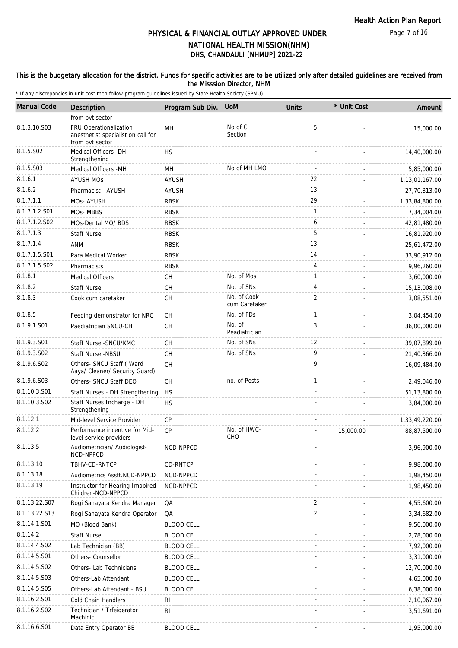### This is the budgetary allocation for the district. Funds for specific activities are to be utilized only after detailed guidelines are received from the Misssion Director, NHM

| <b>Manual Code</b> | Description                                                                     | Program Sub Div.  | <b>UoM</b>                   | <b>Units</b>   | * Unit Cost | Amount         |
|--------------------|---------------------------------------------------------------------------------|-------------------|------------------------------|----------------|-------------|----------------|
|                    | from pvt sector                                                                 |                   |                              |                |             |                |
| 8.1.3.10.S03       | FRU Operationalization<br>anesthetist specialist on call for<br>from pvt sector | MH                | No of C<br>Section           | 5              |             | 15,000.00      |
| 8.1.5.S02          | Medical Officers - DH<br>Strengthening                                          | <b>HS</b>         |                              |                |             | 14,40,000.00   |
| 8.1.5.S03          | Medical Officers -MH                                                            | MH                | No of MH LMO                 |                |             | 5,85,000.00    |
| 8.1.6.1            | <b>AYUSH MOS</b>                                                                | AYUSH             |                              | 22             |             | 1,13,01,167.00 |
| 8.1.6.2            | Pharmacist - AYUSH                                                              | <b>AYUSH</b>      |                              | 13             |             | 27,70,313.00   |
| 8.1.7.1.1          | MOs-AYUSH                                                                       | <b>RBSK</b>       |                              | 29             |             | 1,33,84,800.00 |
| 8.1.7.1.2.S01      | MOs-MBBS                                                                        | <b>RBSK</b>       |                              | 1              |             | 7,34,004.00    |
| 8.1.7.1.2.S02      | MOs-Dental MO/ BDS                                                              | <b>RBSK</b>       |                              | 6              |             | 42,81,480.00   |
| 8.1.7.1.3          | <b>Staff Nurse</b>                                                              | <b>RBSK</b>       |                              | 5              |             | 16,81,920.00   |
| 8.1.7.1.4          | ANM                                                                             | <b>RBSK</b>       |                              | 13             |             | 25,61,472.00   |
| 8.1.7.1.5.S01      | Para Medical Worker                                                             | <b>RBSK</b>       |                              | 14             |             | 33,90,912.00   |
| 8.1.7.1.5.S02      | Pharmacists                                                                     | <b>RBSK</b>       |                              | $\overline{4}$ |             | 9,96,260.00    |
| 8.1.8.1            | <b>Medical Officers</b>                                                         | СH                | No. of Mos                   | 1              |             | 3,60,000.00    |
| 8.1.8.2            | <b>Staff Nurse</b>                                                              | <b>CH</b>         | No. of SNs                   | 4              |             | 15,13,008.00   |
| 8.1.8.3            | Cook cum caretaker                                                              | CH                | No. of Cook<br>cum Caretaker | $\overline{2}$ |             | 3,08,551.00    |
| 8.1.8.5            | Feeding demonstrator for NRC                                                    | <b>CH</b>         | No. of FDs                   | 1              |             | 3,04,454.00    |
| 8.1.9.1.S01        | Paediatrician SNCU-CH                                                           | CH                | No. of<br>Peadiatrician      | 3              |             | 36,00,000.00   |
| 8.1.9.3.S01        | Staff Nurse - SNCU/KMC                                                          | <b>CH</b>         | No. of SNs                   | 12             |             | 39,07,899.00   |
| 8.1.9.3.SO2        | Staff Nurse -NBSU                                                               | CH                | No. of SNs                   | 9              |             | 21,40,366.00   |
| 8.1.9.6.SO2        | Others- SNCU Staff (Ward<br>Aaya/ Cleaner/ Security Guard)                      | <b>CH</b>         |                              | 9              |             | 16,09,484.00   |
| 8.1.9.6.S03        | Others- SNCU Staff DEO                                                          | CH                | no. of Posts                 | $\mathbf{1}$   |             | 2,49,046.00    |
| 8.1.10.3.S01       | Staff Nurses - DH Strengthening                                                 | <b>HS</b>         |                              |                |             | 51,13,800.00   |
| 8.1.10.3.S02       | Staff Nurses Incharge - DH<br>Strengthening                                     | <b>HS</b>         |                              |                |             | 3,84,000.00    |
| 8.1.12.1           | Mid-level Service Provider                                                      | <b>CP</b>         |                              |                |             | 1,33,49,220.00 |
| 8.1.12.2           | Performance incentive for Mid-<br>level service providers                       | <b>CP</b>         | No. of HWC-<br>CHO           |                | 15,000.00   | 88,87,500.00   |
| 8.1.13.5           | Audiometrician/ Audiologist-<br>NCD-NPPCD                                       | NCD-NPPCD         |                              |                |             | 3,96,900.00    |
| 8.1.13.10          | TBHV-CD-RNTCP                                                                   | CD-RNTCP          |                              |                |             | 9,98,000.00    |
| 8.1.13.18          | Audiometrics Asstt.NCD-NPPCD                                                    | NCD-NPPCD         |                              |                |             | 1,98,450.00    |
| 8.1.13.19          | Instructor for Hearing Imapired<br>Children-NCD-NPPCD                           | NCD-NPPCD         |                              |                |             | 1,98,450.00    |
| 8.1.13.22.S07      | Rogi Sahayata Kendra Manager                                                    | QA                |                              | 2              |             | 4,55,600.00    |
| 8.1.13.22.S13      | Rogi Sahayata Kendra Operator                                                   | QA                |                              | $\overline{2}$ |             | 3,34,682.00    |
| 8.1.14.1.S01       | MO (Blood Bank)                                                                 | <b>BLOOD CELL</b> |                              |                |             | 9,56,000.00    |
| 8.1.14.2           | <b>Staff Nurse</b>                                                              | <b>BLOOD CELL</b> |                              |                |             | 2,78,000.00    |
| 8.1.14.4.S02       | Lab Technician (BB)                                                             | <b>BLOOD CELL</b> |                              |                |             | 7,92,000.00    |
| 8.1.14.5.S01       | Others- Counsellor                                                              | <b>BLOOD CELL</b> |                              |                |             | 3,31,000.00    |
| 8.1.14.5.S02       | Others- Lab Technicians                                                         | <b>BLOOD CELL</b> |                              |                |             | 12,70,000.00   |
| 8.1.14.5.S03       | Others-Lab Attendant                                                            | <b>BLOOD CELL</b> |                              |                |             | 4,65,000.00    |
| 8.1.14.5.S05       | Others-Lab Attendant - BSU                                                      | <b>BLOOD CELL</b> |                              |                |             | 6,38,000.00    |
| 8.1.16.2.S01       | Cold Chain Handlers                                                             | RI                |                              |                |             | 2,10,067.00    |
| 8.1.16.2.S02       | Technician / Trfeigerator<br>Machinic                                           | RI                |                              |                |             | 3,51,691.00    |
| 8.1.16.6.S01       | Data Entry Operator BB                                                          | <b>BLOOD CELL</b> |                              |                |             | 1,95,000.00    |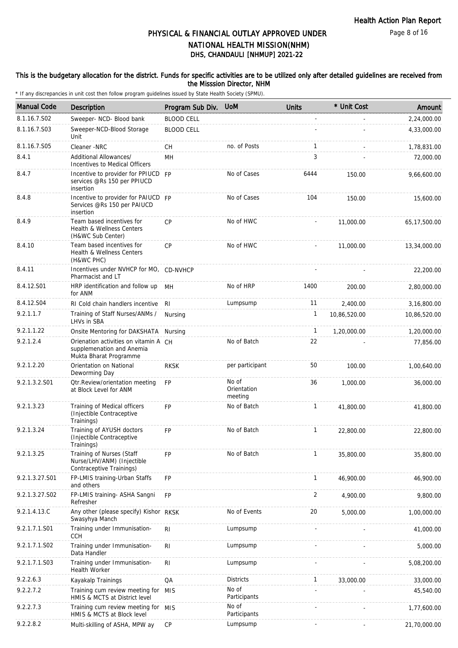### This is the budgetary allocation for the district. Funds for specific activities are to be utilized only after detailed guidelines are received from the Misssion Director, NHM

| <b>Manual Code</b> | <b>Description</b>                                                                           | Program Sub Div.  | <b>UoM</b>                      | <b>Units</b> | * Unit Cost  | Amount       |
|--------------------|----------------------------------------------------------------------------------------------|-------------------|---------------------------------|--------------|--------------|--------------|
| 8.1.16.7.S02       | Sweeper- NCD- Blood bank                                                                     | <b>BLOOD CELL</b> |                                 |              |              | 2,24,000.00  |
| 8.1.16.7.S03       | Sweeper-NCD-Blood Storage<br>Unit                                                            | <b>BLOOD CELL</b> |                                 |              |              | 4,33,000.00  |
| 8.1.16.7.S05       | Cleaner -NRC                                                                                 | СH                | no. of Posts                    | $\mathbf{1}$ |              | 1,78,831.00  |
| 8.4.1              | Additional Allowances/<br>Incentives to Medical Officers                                     | MH                |                                 | 3            |              | 72,000.00    |
| 8.4.7              | Incentive to provider for PPIUCD FP<br>services @Rs 150 per PPIUCD<br>insertion              |                   | No of Cases                     | 6444         | 150.00       | 9,66,600.00  |
| 8.4.8              | Incentive to provider for PAIUCD FP<br>Services @Rs 150 per PAIUCD<br>insertion              |                   | No of Cases                     | 104          | 150.00       | 15,600.00    |
| 8.4.9              | Team based incentives for<br>Health & Wellness Centers<br>(H&WC Sub Center)                  | <b>CP</b>         | No of HWC                       |              | 11,000.00    | 65,17,500.00 |
| 8.4.10             | Team based incentives for<br>Health & Wellness Centers<br>(H&WC PHC)                         | <b>CP</b>         | No of HWC                       |              | 11,000.00    | 13,34,000.00 |
| 8.4.11             | Incentives under NVHCP for MO, CD-NVHCP<br>Pharmacist and LT                                 |                   |                                 |              |              | 22,200.00    |
| 8.4.12.S01         | HRP identification and follow up<br>for ANM                                                  | MН                | No of HRP                       | 1400         | 200.00       | 2,80,000.00  |
| 8.4.12.S04         | RI Cold chain handlers incentive                                                             | RI.               | Lumpsump                        | 11           | 2,400.00     | 3,16,800.00  |
| 9.2.1.1.7          | Training of Staff Nurses/ANMs /<br>LHVs in SBA                                               | Nursing           |                                 | 1            | 10,86,520.00 | 10,86,520.00 |
| 9.2.1.1.22         | Onsite Mentoring for DAKSHATA                                                                | Nursing           |                                 | $\mathbf{1}$ | 1,20,000.00  | 1,20,000.00  |
| 9.2.1.2.4          | Orienation activities on vitamin A CH<br>supplemenation and Anemia<br>Mukta Bharat Programme |                   | No of Batch                     | 22           |              | 77,856.00    |
| 9.2.1.2.20         | Orientation on National<br>Deworming Day                                                     | <b>RKSK</b>       | per participant                 | 50           | 100.00       | 1,00,640.00  |
| 9.2.1.3.2.S01      | <b>Qtr.Review/orientation meeting</b><br>at Block Level for ANM                              | <b>FP</b>         | No of<br>Orientation<br>meeting | 36           | 1,000.00     | 36,000.00    |
| 9.2.1.3.23         | Training of Medical officers<br>(Injectible Contraceptive<br>Trainings)                      | <b>FP</b>         | No of Batch                     | $\mathbf{1}$ | 41,800.00    | 41,800.00    |
| 9.2.1.3.24         | Training of AYUSH doctors<br>(Injectible Contraceptive<br>Trainings)                         | <b>FP</b>         | No of Batch                     | $\mathbf{1}$ | 22,800.00    | 22,800.00    |
| 9.2.1.3.25         | Training of Nurses (Staff<br>Nurse/LHV/ANM) (Injectible<br>Contraceptive Trainings)          | <b>FP</b>         | No of Batch                     | $\mathbf{1}$ | 35,800.00    | 35,800.00    |
| 9.2.1.3.27.S01     | FP-LMIS training-Urban Staffs<br>and others                                                  | FP                |                                 | $\mathbf{1}$ | 46,900.00    | 46,900.00    |
| 9.2.1.3.27.S02     | FP-LMIS training- ASHA Sangni<br>Refresher                                                   | FP                |                                 | 2            | 4,900.00     | 9,800.00     |
| 9.2.1.4.13.C       | Any other (please specify) Kishor<br>Swasyhya Manch                                          | <b>RKSK</b>       | No of Events                    | 20           | 5,000.00     | 1,00,000.00  |
| 9.2.1.7.1.S01      | Training under Immunisation-<br><b>CCH</b>                                                   | $\mathsf{RI}$     | Lumpsump                        |              |              | 41,000.00    |
| 9.2.1.7.1.S02      | Training under Immunisation-<br>Data Handler                                                 | R <sub>1</sub>    | Lumpsump                        |              |              | 5,000.00     |
| 9.2.1.7.1.S03      | Training under Immunisation-<br>Health Worker                                                | RI                | Lumpsump                        |              |              | 5,08,200.00  |
| 9.2.2.6.3          | Kayakalp Trainings                                                                           | QA                | <b>Districts</b>                | $\mathbf{1}$ | 33,000.00    | 33,000.00    |
| 9.2.2.7.2          | Training cum review meeting for<br>HMIS & MCTS at District level                             | <b>MIS</b>        | No of<br>Participants           |              |              | 45,540.00    |
| 9.2.2.7.3          | Training cum review meeting for MIS<br>HMIS & MCTS at Block level                            |                   | No of<br>Participants           |              |              | 1,77,600.00  |
| 9.2.2.8.2          | Multi-skilling of ASHA, MPW ay                                                               | CP                | Lumpsump                        |              |              | 21,70,000.00 |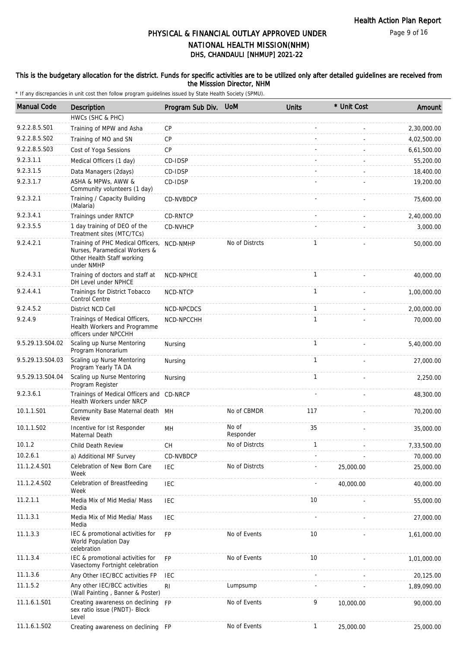### This is the budgetary allocation for the district. Funds for specific activities are to be utilized only after detailed guidelines are received from the Misssion Director, NHM

| <b>Manual Code</b> | Description                                                                                                    | Program Sub Div. | <b>UoM</b>         | <b>Units</b> | * Unit Cost | Amount      |
|--------------------|----------------------------------------------------------------------------------------------------------------|------------------|--------------------|--------------|-------------|-------------|
|                    | HWCs (SHC & PHC)                                                                                               |                  |                    |              |             |             |
| 9.2.2.8.5.S01      | Training of MPW and Asha                                                                                       | CP               |                    |              |             | 2,30,000.00 |
| 9.2.2.8.5.S02      | Training of MO and SN                                                                                          | CP               |                    |              |             | 4,02,500.00 |
| 9.2.2.8.5.S03      | Cost of Yoga Sessions                                                                                          | CP               |                    |              |             | 6,61,500.00 |
| 9.2.3.1.1          | Medical Officers (1 day)                                                                                       | CD-IDSP          |                    |              |             | 55,200.00   |
| 9.2.3.1.5          | Data Managers (2days)                                                                                          | CD-IDSP          |                    |              |             | 18,400.00   |
| 9.2.3.1.7          | ASHA & MPWs, AWW &<br>Community volunteers (1 day)                                                             | CD-IDSP          |                    |              |             | 19,200.00   |
| 9.2.3.2.1          | Training / Capacity Building<br>(Malaria)                                                                      | CD-NVBDCP        |                    |              |             | 75,600.00   |
| 9.2.3.4.1          | Trainings under RNTCP                                                                                          | CD-RNTCP         |                    |              |             | 2,40,000.00 |
| 9.2.3.5.5          | 1 day training of DEO of the<br>Treatment sites (MTC/TCs)                                                      | CD-NVHCP         |                    |              |             | 3,000.00    |
| 9.2.4.2.1          | Training of PHC Medical Officers,<br>Nurses, Paramedical Workers &<br>Other Health Staff working<br>under NMHP | NCD-NMHP         | No of Distrcts     | $\mathbf{1}$ |             | 50,000.00   |
| 9.2.4.3.1          | Training of doctors and staff at<br>DH Level under NPHCE                                                       | NCD-NPHCE        |                    | $\mathbf{1}$ |             | 40,000.00   |
| 9.2.4.4.1          | Trainings for District Tobacco<br>Control Centre                                                               | NCD-NTCP         |                    | $\mathbf{1}$ |             | 1,00,000.00 |
| 9.2.4.5.2          | District NCD Cell                                                                                              | NCD-NPCDCS       |                    | 1            |             | 2,00,000.00 |
| 9.2.4.9            | Trainings of Medical Officers,<br>Health Workers and Programme<br>officers under NPCCHH                        | NCD-NPCCHH       |                    | $\mathbf{1}$ |             | 70,000.00   |
| 9.5.29.13.S04.02   | Scaling up Nurse Mentoring<br>Program Honorarium                                                               | Nursing          |                    | $\mathbf{1}$ |             | 5,40,000.00 |
| 9.5.29.13.S04.03   | Scaling up Nurse Mentoring<br>Program Yearly TA DA                                                             | Nursing          |                    | $\mathbf{1}$ |             | 27,000.00   |
| 9.5.29.13.S04.04   | Scaling up Nurse Mentoring<br>Program Register                                                                 | Nursing          |                    | $\mathbf{1}$ |             | 2,250.00    |
| 9.2.3.6.1          | Trainings of Medical Officers and CD-NRCP<br>Health Workers under NRCP                                         |                  |                    |              |             | 48,300.00   |
| 10.1.1.S01         | Community Base Maternal death MH<br>Review                                                                     |                  | No of CBMDR        | 117          |             | 70,200.00   |
| 10.1.1.S02         | Incentive for 1st Responder<br>Maternal Death                                                                  | MH               | No of<br>Responder | 35           |             | 35,000.00   |
| 10.1.2             | Child Death Review                                                                                             | CH               | No of Distrcts     | $\mathbf{1}$ |             | 7,33,500.00 |
| 10.2.6.1           | a) Additional MF Survey                                                                                        | CD-NVBDCP        |                    |              |             | 70,000.00   |
| 11.1.2.4.S01       | Celebration of New Born Care<br>Week                                                                           | <b>IEC</b>       | No of Distrcts     |              | 25,000.00   | 25,000.00   |
| 11.1.2.4.S02       | Celebration of Breastfeeding<br>Week                                                                           | <b>IEC</b>       |                    |              | 40,000.00   | 40,000.00   |
| 11.2.1.1           | Media Mix of Mid Media/ Mass<br>Media                                                                          | <b>IEC</b>       |                    | 10           |             | 55,000.00   |
| 11.1.3.1           | Media Mix of Mid Media/ Mass<br>Media                                                                          | <b>IEC</b>       |                    |              |             | 27,000.00   |
| 11.1.3.3           | IEC & promotional activities for<br>World Population Day<br>celebration                                        | FP               | No of Events       | 10           |             | 1,61,000.00 |
| 11.1.3.4           | IEC & promotional activities for<br>Vasectomy Fortnight celebration                                            | <b>FP</b>        | No of Events       | 10           |             | 1,01,000.00 |
| 11.1.3.6           | Any Other IEC/BCC activities FP                                                                                | <b>IEC</b>       |                    |              |             | 20,125.00   |
| 11.1.5.2           | Any other IEC/BCC activities<br>(Wall Painting, Banner & Poster)                                               | RI               | Lumpsump           |              |             | 1,89,090.00 |
| 11.1.6.1.S01       | Creating awareness on declining<br>sex ratio issue (PNDT)- Block<br>Level                                      | <b>FP</b>        | No of Events       | 9            | 10,000.00   | 90,000.00   |
| 11.1.6.1.S02       | Creating awareness on declining                                                                                | FP               | No of Events       | $\mathbf{1}$ | 25,000.00   | 25,000.00   |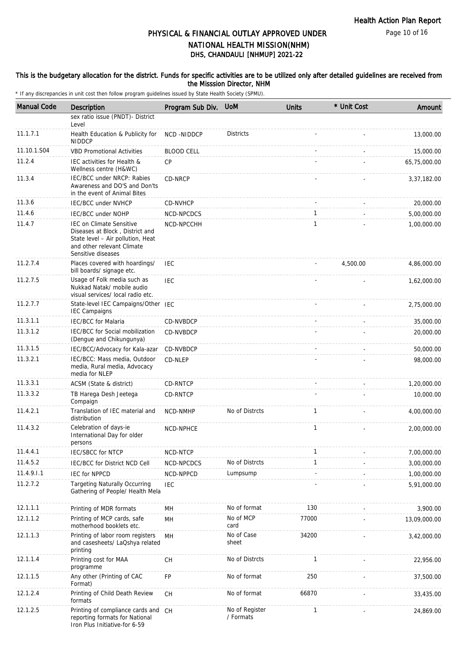Page 10 of 16

# DHS, CHANDAULI [NHMUP] 2021-22 PHYSICAL & FINANCIAL OUTLAY APPROVED UNDER NATIONAL HEALTH MISSION(NHM)

### This is the budgetary allocation for the district. Funds for specific activities are to be utilized only after detailed guidelines are received from the Misssion Director, NHM

| <b>Manual Code</b> | <b>Description</b>                                                                                                                                          | Program Sub Div.  | <b>UoM</b>                  | <b>Units</b> | * Unit Cost | Amount       |
|--------------------|-------------------------------------------------------------------------------------------------------------------------------------------------------------|-------------------|-----------------------------|--------------|-------------|--------------|
|                    | sex ratio issue (PNDT)- District<br>Level                                                                                                                   |                   |                             |              |             |              |
| 11.1.7.1           | Health Education & Publicity for<br><b>NIDDCP</b>                                                                                                           | NCD-NIDDCP        | <b>Districts</b>            |              |             | 13,000.00    |
| 11.10.1.S04        | <b>VBD Promotional Activities</b>                                                                                                                           | <b>BLOOD CELL</b> |                             |              |             | 15,000.00    |
| 11.2.4             | IEC activities for Health &<br>Wellness centre (H&WC)                                                                                                       | <b>CP</b>         |                             |              |             | 65,75,000.00 |
| 11.3.4             | IEC/BCC under NRCP: Rabies<br>Awareness and DO'S and Don'ts<br>in the event of Animal Bites                                                                 | CD-NRCP           |                             |              |             | 3,37,182.00  |
| 11.3.6             | <b>IEC/BCC under NVHCP</b>                                                                                                                                  | CD-NVHCP          |                             |              |             | 20,000.00    |
| 11.4.6             | IEC/BCC under NOHP                                                                                                                                          | NCD-NPCDCS        |                             | 1            |             | 5,00,000.00  |
| 11.4.7             | <b>IEC on Climate Sensitive</b><br>Diseases at Block, District and<br>State level - Air pollution, Heat<br>and other relevant Climate<br>Sensitive diseases | NCD-NPCCHH        |                             | $\mathbf{1}$ |             | 1,00,000.00  |
| 11.2.7.4           | Places covered with hoardings/<br>bill boards/ signage etc.                                                                                                 | IEC               |                             |              | 4,500.00    | 4,86,000.00  |
| 11.2.7.5           | Usage of Folk media such as<br>Nukkad Natak/ mobile audio<br>visual services/ local radio etc.                                                              | <b>IEC</b>        |                             |              |             | 1,62,000.00  |
| 11.2.7.7           | State-level IEC Campaigns/Other IEC<br><b>IEC Campaigns</b>                                                                                                 |                   |                             |              |             | 2,75,000.00  |
| 11.3.1.1           | <b>IEC/BCC for Malaria</b>                                                                                                                                  | <b>CD-NVBDCP</b>  |                             |              |             | 35,000.00    |
| 11.3.1.2           | IEC/BCC for Social mobilization<br>(Dengue and Chikungunya)                                                                                                 | CD-NVBDCP         |                             |              |             | 20,000.00    |
| 11.3.1.5           | IEC/BCC/Advocacy for Kala-azar                                                                                                                              | CD-NVBDCP         |                             |              |             | 50,000.00    |
| 11.3.2.1           | IEC/BCC: Mass media, Outdoor<br>media, Rural media, Advocacy<br>media for NLEP                                                                              | CD-NLEP           |                             |              |             | 98,000.00    |
| 11.3.3.1           | ACSM (State & district)                                                                                                                                     | CD-RNTCP          |                             |              |             | 1,20,000.00  |
| 11.3.3.2           | TB Harega Desh Jeetega<br>Compaign                                                                                                                          | CD-RNTCP          |                             |              |             | 10,000.00    |
| 11.4.2.1           | Translation of IEC material and<br>distribution                                                                                                             | NCD-NMHP          | No of Distrcts              | $\mathbf{1}$ |             | 4,00,000.00  |
| 11.4.3.2           | Celebration of days-ie<br>International Day for older<br>persons                                                                                            | NCD-NPHCE         |                             | 1            |             | 2,00,000.00  |
| 11.4.4.1           | <b>IEC/SBCC for NTCP</b>                                                                                                                                    | NCD-NTCP          |                             | $\mathbf{1}$ |             | 7,00,000.00  |
| 11.4.5.2           | IEC/BCC for District NCD Cell                                                                                                                               | NCD-NPCDCS        | No of Distrcts              | $\mathbf{1}$ |             | 3,00,000.00  |
| 11.4.9.1.1         | <b>IEC for NPPCD</b>                                                                                                                                        | NCD-NPPCD         | Lumpsump                    |              |             | 1,00,000.00  |
| 11.2.7.2           | <b>Targeting Naturally Occurring</b><br>Gathering of People/ Health Mela                                                                                    | <b>IEC</b>        |                             |              |             | 5,91,000.00  |
| 12.1.1.1           | Printing of MDR formats                                                                                                                                     | MН                | No of format                | 130          |             | 3,900.00     |
| 12.1.1.2           | Printing of MCP cards, safe<br>motherhood booklets etc.                                                                                                     | MH                | No of MCP<br>card           | 77000        |             | 13,09,000.00 |
| 12.1.1.3           | Printing of labor room registers<br>and casesheets/ LaQshya related<br>printing                                                                             | MН                | No of Case<br>sheet         | 34200        |             | 3,42,000.00  |
| 12.1.1.4           | Printing cost for MAA<br>programme                                                                                                                          | СH                | No of Distrcts              | $\mathbf{1}$ |             | 22,956.00    |
| 12.1.1.5           | Any other (Printing of CAC<br>Format)                                                                                                                       | FP                | No of format                | 250          |             | 37,500.00    |
| 12.1.2.4           | Printing of Child Death Review<br>formats                                                                                                                   | <b>CH</b>         | No of format                | 66870        |             | 33,435.00    |
| 12.1.2.5           | Printing of compliance cards and<br>reporting formats for National<br>Iron Plus Initiative-for 6-59                                                         | СH                | No of Register<br>/ Formats | 1            |             | 24,869.00    |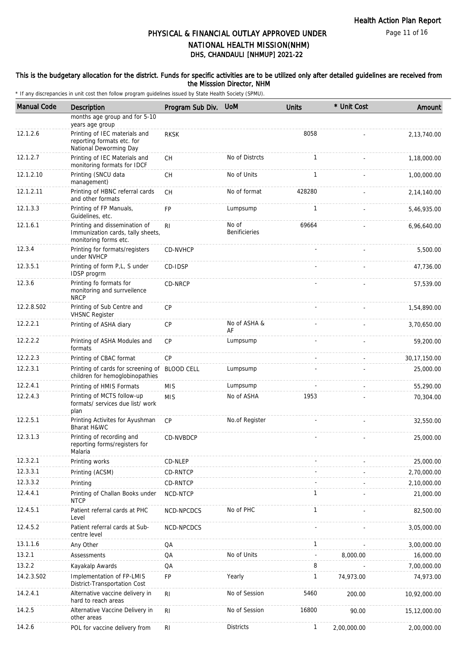### This is the budgetary allocation for the district. Funds for specific activities are to be utilized only after detailed guidelines are received from the Misssion Director, NHM

| <b>Manual Code</b> | <b>Description</b>                                                                          | Program Sub Div. UoM |                               | <b>Units</b> | * Unit Cost | Amount         |
|--------------------|---------------------------------------------------------------------------------------------|----------------------|-------------------------------|--------------|-------------|----------------|
|                    | months age group and for 5-10<br>years age group                                            |                      |                               |              |             |                |
| 12.1.2.6           | Printing of IEC materials and<br>reporting formats etc. for<br>National Deworming Day       | <b>RKSK</b>          |                               | 8058         |             | 2,13,740.00    |
| 12.1.2.7           | Printing of IEC Materials and<br>monitoring formats for IDCF                                | <b>CH</b>            | No of Distrcts                | 1            |             | 1,18,000.00    |
| 12.1.2.10          | Printing (SNCU data<br>management)                                                          | СH                   | No of Units                   | 1            |             | 1,00,000.00    |
| 12.1.2.11          | Printing of HBNC referral cards<br>and other formats                                        | CH                   | No of format                  | 428280       |             | 2,14,140.00    |
| 12.1.3.3           | Printing of FP Manuals,<br>Guidelines, etc.                                                 | <b>FP</b>            | Lumpsump                      | $\mathbf{1}$ |             | 5,46,935.00    |
| 12.1.6.1           | Printing and dissemination of<br>Immunization cards, tally sheets,<br>monitoring forms etc. | RI                   | No of<br><b>Benificieries</b> | 69664        |             | 6,96,640.00    |
| 12.3.4             | Printing for formats/registers<br>under NVHCP                                               | CD-NVHCP             |                               |              |             | 5,500.00       |
| 12.3.5.1           | Printing of form P,L, S under<br>IDSP progrm                                                | CD-IDSP              |                               |              |             | 47,736.00      |
| 12.3.6             | Printing fo formats for<br>monitoring and surrveilence<br><b>NRCP</b>                       | CD-NRCP              |                               |              |             | 57,539.00      |
| 12.2.8.S02         | Printing of Sub Centre and<br><b>VHSNC Register</b>                                         | CP                   |                               |              |             | 1,54,890.00    |
| 12.2.2.1           | Printing of ASHA diary                                                                      | CP                   | No of ASHA &<br>AF            |              |             | 3,70,650.00    |
| 12.2.2.2           | Printing of ASHA Modules and<br>formats                                                     | CP                   | Lumpsump                      |              |             | 59,200.00      |
| 12.2.2.3           | Printing of CBAC format                                                                     | CP                   |                               |              |             | 30, 17, 150.00 |
| 12.2.3.1           | Printing of cards for screening of<br>children for hemoglobinopathies                       | <b>BLOOD CELL</b>    | Lumpsump                      |              |             | 25,000.00      |
| 12.2.4.1           | Printing of HMIS Formats                                                                    | <b>MIS</b>           | Lumpsump                      |              |             | 55,290.00      |
| 12.2.4.3           | Printing of MCTS follow-up<br>formats/ services due list/ work<br>plan                      | <b>MIS</b>           | No of ASHA                    | 1953         |             | 70,304.00      |
| 12.2.5.1           | Printing Activites for Ayushman<br>Bharat H&WC                                              | CP                   | No.of Register                |              |             | 32,550.00      |
| 12.3.1.3           | Printing of recording and<br>reporting forms/registers for<br>Malaria                       | CD-NVBDCP            |                               |              |             | 25,000.00      |
| 12.3.2.1           | Printing works                                                                              | CD-NLEP              |                               |              |             | 25,000.00      |
| 12.3.3.1           | Printing (ACSM)                                                                             | CD-RNTCP             |                               |              |             | 2,70,000.00    |
| 12.3.3.2           | Printing                                                                                    | CD-RNTCP             |                               |              |             | 2,10,000.00    |
| 12.4.4.1           | Printing of Challan Books under<br><b>NTCP</b>                                              | NCD-NTCP             |                               | $\mathbf{1}$ |             | 21,000.00      |
| 12.4.5.1           | Patient referral cards at PHC<br>Level                                                      | NCD-NPCDCS           | No of PHC                     | $\mathbf{1}$ |             | 82,500.00      |
| 12.4.5.2           | Patient referral cards at Sub-<br>centre level                                              | NCD-NPCDCS           |                               |              |             | 3,05,000.00    |
| 13.1.1.6           | Any Other                                                                                   | QA                   |                               | $\mathbf{1}$ |             | 3,00,000.00    |
| 13.2.1             | Assessments                                                                                 | QA                   | No of Units                   |              | 8,000.00    | 16,000.00      |
| 13.2.2             | Kayakalp Awards                                                                             | QA                   |                               | 8            |             | 7,00,000.00    |
| 14.2.3.S02         | Implementation of FP-LMIS<br>District-Transportation Cost                                   | FP                   | Yearly                        | $\mathbf{1}$ | 74,973.00   | 74,973.00      |
| 14.2.4.1           | Alternative vaccine delivery in<br>hard to reach areas                                      | R <sub>l</sub>       | No of Session                 | 5460         | 200.00      | 10,92,000.00   |
| 14.2.5             | Alternative Vaccine Delivery in<br>other areas                                              | R <sub>l</sub>       | No of Session                 | 16800        | 90.00       | 15,12,000.00   |
| 14.2.6             | POL for vaccine delivery from                                                               | RI                   | <b>Districts</b>              | $\mathbf{1}$ | 2,00,000.00 | 2,00,000.00    |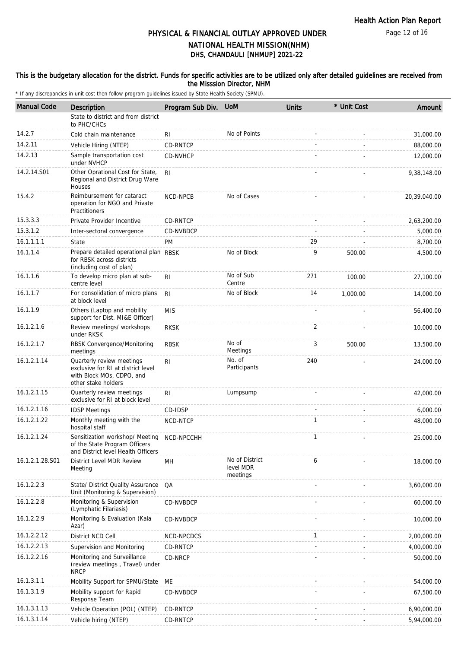Page 12 of 16

# DHS, CHANDAULI [NHMUP] 2021-22 PHYSICAL & FINANCIAL OUTLAY APPROVED UNDER NATIONAL HEALTH MISSION(NHM)

### This is the budgetary allocation for the district. Funds for specific activities are to be utilized only after detailed guidelines are received from the Misssion Director, NHM

| <b>Manual Code</b> | Description                                                                                                         | Program Sub Div. | <b>UoM</b>                              | <b>Units</b> | * Unit Cost | Amount       |
|--------------------|---------------------------------------------------------------------------------------------------------------------|------------------|-----------------------------------------|--------------|-------------|--------------|
|                    | State to district and from district                                                                                 |                  |                                         |              |             |              |
|                    | to PHC/CHCs                                                                                                         |                  |                                         |              |             |              |
| 14.2.7             | Cold chain maintenance                                                                                              | RI               | No of Points                            |              |             | 31,000.00    |
| 14.2.11            | Vehicle Hiring (NTEP)                                                                                               | CD-RNTCP         |                                         |              |             | 88,000.00    |
| 14.2.13            | Sample transportation cost<br>under NVHCP                                                                           | CD-NVHCP         |                                         |              |             | 12,000.00    |
| 14.2.14.S01        | Other Oprational Cost for State,<br>Regional and District Drug Ware<br>Houses                                       | RI.              |                                         |              |             | 9,38,148.00  |
| 15.4.2             | Reimbursement for cataract<br>operation for NGO and Private<br>Practitioners                                        | NCD-NPCB         | No of Cases                             |              |             | 20,39,040.00 |
| 15.3.3.3           | Private Provider Incentive                                                                                          | CD-RNTCP         |                                         |              |             | 2,63,200.00  |
| 15.3.1.2           | Inter-sectoral convergence                                                                                          | CD-NVBDCP        |                                         |              |             | 5,000.00     |
| 16.1.1.1.1         | State                                                                                                               | <b>PM</b>        |                                         | 29           |             | 8,700.00     |
| 16.1.1.4           | Prepare detailed operational plan RBSK<br>for RBSK across districts<br>(including cost of plan)                     |                  | No of Block                             | 9            | 500.00      | 4,500.00     |
| 16.1.1.6           | To develop micro plan at sub-<br>centre level                                                                       | RI               | No of Sub<br>Centre                     | 271          | 100.00      | 27,100.00    |
| 16.1.1.7           | For consolidation of micro plans<br>at block level                                                                  | R <sub>l</sub>   | No of Block                             | 14           | 1,000.00    | 14,000.00    |
| 16.1.1.9           | Others (Laptop and mobility<br>support for Dist. MI&E Officer)                                                      | <b>MIS</b>       |                                         |              |             | 56,400.00    |
| 16.1.2.1.6         | Review meetings/ workshops<br>under RKSK                                                                            | <b>RKSK</b>      |                                         | 2            |             | 10,000.00    |
| 16.1.2.1.7         | RBSK Convergence/Monitoring<br>meetings                                                                             | <b>RBSK</b>      | No of<br>Meetings                       | 3            | 500.00      | 13,500.00    |
| 16.1.2.1.14        | Quarterly review meetings<br>exclusive for RI at district level<br>with Block MOs, CDPO, and<br>other stake holders | R <sub>1</sub>   | No. of<br>Participants                  | 240          |             | 24,000.00    |
| 16.1.2.1.15        | Quarterly review meetings<br>exclusive for RI at block level                                                        | R <sub>1</sub>   | Lumpsump                                |              |             | 42,000.00    |
| 16.1.2.1.16        | <b>IDSP Meetings</b>                                                                                                | CD-IDSP          |                                         |              |             | 6,000.00     |
| 16.1.2.1.22        | Monthly meeting with the<br>hospital staff                                                                          | NCD-NTCP         |                                         | 1            |             | 48,000.00    |
| 16.1.2.1.24        | Sensitization workshop/ Meeting<br>of the State Program Officers<br>and District level Health Officers              | NCD-NPCCHH       |                                         | $\mathbf{1}$ |             | 25,000.00    |
| 16.1.2.1.28.S01    | District Level MDR Review<br>Meeting                                                                                | MН               | No of District<br>level MDR<br>meetings | 6            |             | 18,000.00    |
| 16.1.2.2.3         | State/ District Quality Assurance<br>Unit (Monitoring & Supervision)                                                | QA               |                                         |              |             | 3,60,000.00  |
| 16.1.2.2.8         | Monitoring & Supervision<br>(Lymphatic Filariasis)                                                                  | CD-NVBDCP        |                                         |              |             | 60,000.00    |
| 16.1.2.2.9         | Monitoring & Evaluation (Kala<br>Azar)                                                                              | CD-NVBDCP        |                                         |              |             | 10,000.00    |
| 16.1.2.2.12        | District NCD Cell                                                                                                   | NCD-NPCDCS       |                                         | $\mathbf{1}$ |             | 2,00,000.00  |
| 16.1.2.2.13        | Supervision and Monitoring                                                                                          | CD-RNTCP         |                                         |              |             | 4,00,000.00  |
| 16.1.2.2.16        | Monitoring and Surveillance<br>(review meetings, Travel) under<br><b>NRCP</b>                                       | CD-NRCP          |                                         |              |             | 50,000.00    |
| 16.1.3.1.1         | Mobility Support for SPMU/State                                                                                     | МE               |                                         |              |             | 54,000.00    |
| 16.1.3.1.9         | Mobility support for Rapid<br>Response Team                                                                         | CD-NVBDCP        |                                         |              |             | 67,500.00    |
| 16.1.3.1.13        | Vehicle Operation (POL) (NTEP)                                                                                      | CD-RNTCP         |                                         |              |             | 6,90,000.00  |
| 16.1.3.1.14        | Vehicle hiring (NTEP)                                                                                               | CD-RNTCP         |                                         |              |             | 5,94,000.00  |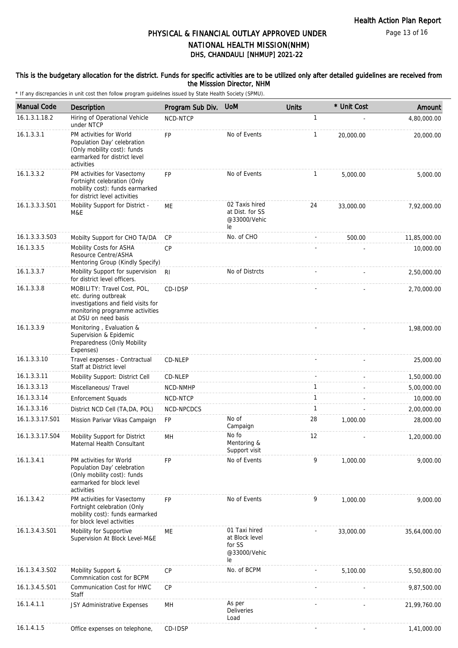Page 13 of 16

# DHS, CHANDAULI [NHMUP] 2021-22 PHYSICAL & FINANCIAL OUTLAY APPROVED UNDER NATIONAL HEALTH MISSION(NHM)

### This is the budgetary allocation for the district. Funds for specific activities are to be utilized only after detailed guidelines are received from the Misssion Director, NHM

| <b>Manual Code</b> | Description                                                                                                                                           | Program Sub Div. | <b>UoM</b>                                                      | <b>Units</b> | * Unit Cost              | Amount       |
|--------------------|-------------------------------------------------------------------------------------------------------------------------------------------------------|------------------|-----------------------------------------------------------------|--------------|--------------------------|--------------|
| 16.1.3.1.18.2      | Hiring of Operational Vehicle<br>under NTCP                                                                                                           | NCD-NTCP         |                                                                 | $\mathbf{1}$ |                          | 4,80,000.00  |
| 16.1.3.3.1         | PM activities for World<br>Population Day' celebration<br>(Only mobility cost): funds<br>earmarked for district level<br>activities                   | FP               | No of Events                                                    | $\mathbf{1}$ | 20,000.00                | 20,000.00    |
| 16.1.3.3.2         | PM activities for Vasectomy<br>Fortnight celebration (Only<br>mobility cost): funds earmarked<br>for district level activities                        | <b>FP</b>        | No of Events                                                    | $\mathbf{1}$ | 5,000.00                 | 5,000.00     |
| 16.1.3.3.3.S01     | Mobility Support for District -<br>M&E                                                                                                                | ME               | 02 Taxis hired<br>at Dist. for SS<br>@33000/Vehic<br>le         | 24           | 33,000.00                | 7,92,000.00  |
| 16.1.3.3.3.S03     | Mobilty Support for CHO TA/DA                                                                                                                         | <b>CP</b>        | No. of CHO                                                      |              | 500.00                   | 11,85,000.00 |
| 16.1.3.3.5         | Mobility Costs for ASHA<br>Resource Centre/ASHA<br>Mentoring Group (Kindly Specify)                                                                   | CP               |                                                                 |              |                          | 10,000.00    |
| 16.1.3.3.7         | Mobility Support for supervision<br>for district level officers.                                                                                      | <b>RI</b>        | No of Distrcts                                                  |              |                          | 2,50,000.00  |
| 16.1.3.3.8         | MOBILITY: Travel Cost, POL,<br>etc. during outbreak<br>investigations and field visits for<br>monitoring programme activities<br>at DSU on need basis | CD-IDSP          |                                                                 |              |                          | 2,70,000.00  |
| 16.1.3.3.9         | Monitoring, Evaluation &<br>Supervision & Epidemic<br>Preparedness (Only Mobility<br>Expenses)                                                        |                  |                                                                 |              |                          | 1,98,000.00  |
| 16.1.3.3.10        | Travel expenses - Contractual<br>Staff at District level                                                                                              | CD-NLEP          |                                                                 |              |                          | 25,000.00    |
| 16.1.3.3.11        | Mobility Support: District Cell                                                                                                                       | CD-NLEP          |                                                                 |              |                          | 1,50,000.00  |
| 16.1.3.3.13        | Miscellaneous/ Travel                                                                                                                                 | NCD-NMHP         |                                                                 | 1            |                          | 5,00,000.00  |
| 16.1.3.3.14        | <b>Enforcement Squads</b>                                                                                                                             | NCD-NTCP         |                                                                 | $\mathbf{1}$ |                          | 10,000.00    |
| 16.1.3.3.16        | District NCD Cell (TA, DA, POL)                                                                                                                       | NCD-NPCDCS       |                                                                 | $\mathbf{1}$ |                          | 2,00,000.00  |
| 16.1.3.3.17.S01    | Mission Parivar Vikas Campaign                                                                                                                        | FP               | No of<br>Campaign                                               | 28           | 1,000.00                 | 28,000.00    |
| 16.1.3.3.17.S04    | Mobility Support for District<br>Maternal Health Consultant                                                                                           | MН               | No fo<br>Mentoring &<br>Support visit                           | 12           |                          | 1,20,000.00  |
| 16.1.3.4.1         | PM activities for World<br>Population Day' celebration<br>(Only mobility cost): funds<br>earmarked for block level<br>activities                      | FP               | No of Events                                                    | 9            | 1,000.00                 | 9.000.00     |
| 16.1.3.4.2         | PM activities for Vasectomy<br>Fortnight celebration (Only<br>mobility cost): funds earmarked<br>for block level activities                           | FP               | No of Events                                                    | 9            | 1,000.00                 | 9,000.00     |
| 16.1.3.4.3.S01     | Mobility for Supportive<br>Supervision At Block Level-M&E                                                                                             | МE               | 01 Taxi hired<br>at Block level<br>for SS<br>@33000/Vehic<br>le |              | 33,000.00                | 35,64,000.00 |
| 16.1.3.4.3.S02     | Mobility Support &<br>Commnication cost for BCPM                                                                                                      | <b>CP</b>        | No. of BCPM                                                     |              | 5,100.00                 | 5,50,800.00  |
| 16.1.3.4.5.S01     | Communication Cost for HWC<br>Staff                                                                                                                   | СP               |                                                                 |              |                          | 9,87,500.00  |
| 16.1.4.1.1         | JSY Administrative Expenses                                                                                                                           | MH               | As per<br><b>Deliveries</b><br>Load                             |              |                          | 21,99,760.00 |
| 16.1.4.1.5         | Office expenses on telephone,                                                                                                                         | CD-IDSP          |                                                                 |              | $\overline{\phantom{a}}$ | 1,41,000.00  |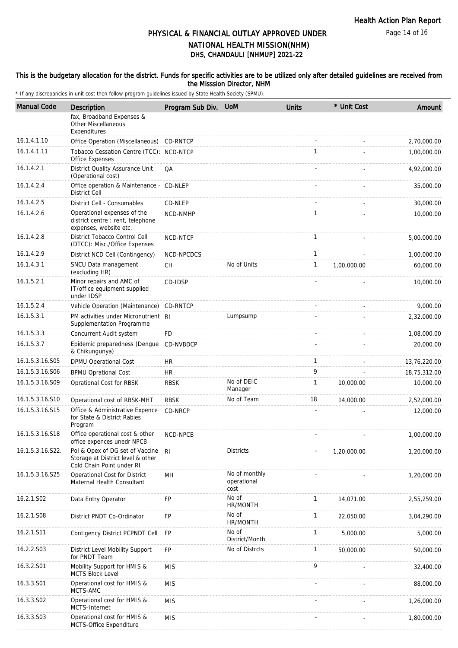Page 14 of 16

# DHS, CHANDAULI [NHMUP] 2021-22 PHYSICAL & FINANCIAL OUTLAY APPROVED UNDER NATIONAL HEALTH MISSION(NHM)

### This is the budgetary allocation for the district. Funds for specific activities are to be utilized only after detailed guidelines are received from the Misssion Director, NHM

| <b>Manual Code</b> | Description                                                                                          | Program Sub Div. | <b>UoM</b>                           | <b>Units</b> | * Unit Cost | Amount       |
|--------------------|------------------------------------------------------------------------------------------------------|------------------|--------------------------------------|--------------|-------------|--------------|
|                    | fax, Broadband Expenses &<br><b>Other Miscellaneous</b><br>Expenditures                              |                  |                                      |              |             |              |
| 16.1.4.1.10        | Office Operation (Miscellaneous)                                                                     | CD-RNTCP         |                                      |              |             | 2,70,000.00  |
| 16.1.4.1.11        | Tobacco Cessation Centre (TCC): NCD-NTCP<br>Office Expenses                                          |                  |                                      | 1            |             | 1,00,000.00  |
| 16.1.4.2.1         | District Quality Assurance Unit<br>(Operational cost)                                                | QA               |                                      |              |             | 4,92,000.00  |
| 16.1.4.2.4         | Office operation & Maintenance - CD-NLEP<br><b>District Cell</b>                                     |                  |                                      |              |             | 35,000.00    |
| 16.1.4.2.5         | District Cell - Consumables                                                                          | CD-NLEP          |                                      |              |             | 30,000.00    |
| 16.1.4.2.6         | Operational expenses of the<br>district centre : rent, telephone<br>expenses, website etc.           | NCD-NMHP         |                                      | 1            |             | 10,000.00    |
| 16.1.4.2.8         | District Tobacco Control Cell<br>(DTCC): Misc./Office Expenses                                       | NCD-NTCP         |                                      | 1            |             | 5,00,000.00  |
| 16.1.4.2.9         | District NCD Cell (Contingency)                                                                      | NCD-NPCDCS       |                                      | $\mathbf{1}$ |             | 1,00,000.00  |
| 16.1.4.3.1         | SNCU Data management<br>(excluding HR)                                                               | <b>CH</b>        | No of Units                          | 1            | 1,00,000.00 | 60,000.00    |
| 16.1.5.2.1         | Minor repairs and AMC of<br>IT/office equipment supplied<br>under IDSP                               | CD-IDSP          |                                      |              |             | 10,000.00    |
| 16.1.5.2.4         | Vehicle Operation (Maintenance)                                                                      | CD-RNTCP         |                                      |              |             | 9,000.00     |
| 16.1.5.3.1         | PM activities under Micronutrient RI<br>Supplementation Programme                                    |                  | Lumpsump                             |              |             | 2,32,000.00  |
| 16.1.5.3.3         | Concurrent Audit system                                                                              | <b>FD</b>        |                                      |              |             | 1,08,000.00  |
| 16.1.5.3.7         | Epidemic preparedness (Dengue<br>& Chikungunya)                                                      | CD-NVBDCP        |                                      |              |             | 20,000.00    |
| 16.1.5.3.16.S05    | DPMU Operational Cost                                                                                | HR               |                                      | 1            |             | 13,76,220.00 |
| 16.1.5.3.16.S06    | <b>BPMU Oprational Cost</b>                                                                          | <b>HR</b>        |                                      | 9            |             | 18,75,312.00 |
| 16.1.5.3.16.S09    | Oprational Cost for RBSK                                                                             | <b>RBSK</b>      | No of DEIC<br>Manager                | 1            | 10,000.00   | 10,000.00    |
| 16.1.5.3.16.S10    | Operational cost of RBSK-MHT                                                                         | <b>RBSK</b>      | No of Team                           | 18           | 14,000.00   | 2,52,000.00  |
| 16.1.5.3.16.S15    | Office & Administrative Expence<br>for State & District Rabies<br>Program                            | CD-NRCP          |                                      |              |             | 12,000.00    |
| 16.1.5.3.16.S18    | Office operational cost & other<br>office expences unedr NPCB                                        | NCD-NPCB         |                                      |              |             | 1,00,000.00  |
| 16.1.5.3.16.S22.   | Pol & Opex of DG set of Vaccine RI<br>Storage at District level & other<br>Cold Chain Point under RI |                  | <b>Districts</b>                     |              | 1,20,000.00 | 1,20,000.00  |
| 16.1.5.3.16.S25    | Operational Cost for District<br>Maternal Health Consultant                                          | MН               | No of monthly<br>operational<br>cost |              |             | 1,20,000.00  |
| 16.2.1.S02         | Data Entry Operator                                                                                  | FP               | No of<br>HR/MONTH                    | $\mathbf{1}$ | 14,071.00   | 2,55,259.00  |
| 16.2.1.S08         | District PNDT Co-Ordinator                                                                           | FP               | No of<br>HR/MONTH                    | 1            | 22,050.00   | 3,04,290.00  |
| 16.2.1.S11         | Contigency District PCPNDT Cell                                                                      | FP               | No of<br>District/Month              | 1            | 5,000.00    | 5,000.00     |
| 16.2.2.S03         | District Level Mobility Support<br>for PNDT Team                                                     | <b>FP</b>        | No of Distrcts                       | 1            | 50,000.00   | 50,000.00    |
| 16.3.2.S01         | Mobility Support for HMIS &<br>MCTS Block Level                                                      | <b>MIS</b>       |                                      | 9            |             | 32,400.00    |
| 16.3.3.S01         | Operational cost for HMIS &<br>MCTS-AMC                                                              | <b>MIS</b>       |                                      |              |             | 88,000.00    |
| 16.3.3.S02         | Operational cost for HMIS &<br>MCTS-Internet                                                         | <b>MIS</b>       |                                      |              |             | 1,26,000.00  |
| 16.3.3.S03         | Operational cost for HMIS &<br>MCTS-Office Expenditure                                               | <b>MIS</b>       |                                      |              |             | 1,80,000.00  |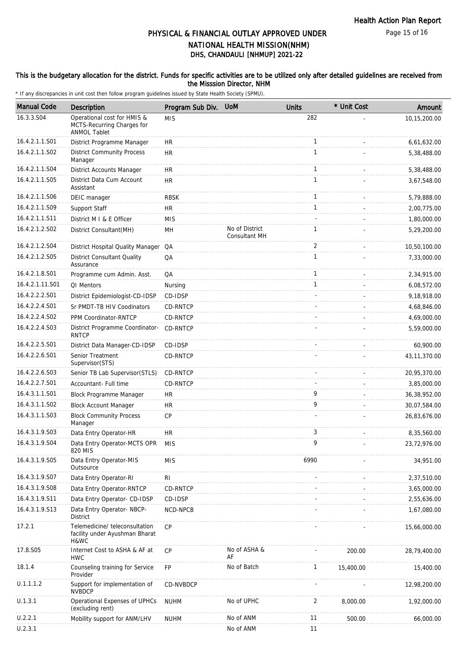### This is the budgetary allocation for the district. Funds for specific activities are to be utilized only after detailed guidelines are received from the Misssion Director, NHM

| <b>Manual Code</b> | Description                                                                      | Program Sub Div. | <b>UoM</b>                      | <b>Units</b> | * Unit Cost | Amount         |
|--------------------|----------------------------------------------------------------------------------|------------------|---------------------------------|--------------|-------------|----------------|
| 16.3.3.S04         | Operational cost for HMIS &<br>MCTS-Recurring Charges for<br><b>ANMOL Tablet</b> | <b>MIS</b>       |                                 | 282          |             | 10,15,200.00   |
| 16.4.2.1.1.S01     | District Programme Manager                                                       | HR               |                                 | 1            |             | 6,61,632.00    |
| 16.4.2.1.1.S02     | <b>District Community Process</b><br>Manager                                     | <b>HR</b>        |                                 | $\mathbf{1}$ |             | 5,38,488.00    |
| 16.4.2.1.1.S04     | District Accounts Manager                                                        | <b>HR</b>        |                                 | $\mathbf{1}$ |             | 5,38,488.00    |
| 16.4.2.1.1.S05     | District Data Cum Account<br>Assistant                                           | <b>HR</b>        |                                 | $\mathbf{1}$ |             | 3,67,548.00    |
| 16.4.2.1.1.S06     | DEIC manager                                                                     | <b>RBSK</b>      |                                 | $\mathbf{1}$ |             | 5,79,888.00    |
| 16.4.2.1.1.S09     | Support Staff                                                                    | <b>HR</b>        |                                 | $\mathbf{1}$ |             | 2,00,775.00    |
| 16.4.2.1.1.S11     | District M I & E Officer                                                         | <b>MIS</b>       |                                 |              |             | 1,80,000.00    |
| 16.4.2.1.2.S02     | District Consultant (MH)                                                         | MH               | No of District<br>Consultant MH | 1            |             | 5,29,200.00    |
| 16.4.2.1.2.S04     | District Hospital Quality Manager                                                | QA               |                                 | 2            |             | 10,50,100.00   |
| 16.4.2.1.2.S05     | <b>District Consultant Quality</b><br>Assurance                                  | QA               |                                 | 1            |             | 7,33,000.00    |
| 16.4.2.1.8.S01     | Programme cum Admin. Asst.                                                       | QA               |                                 | $\mathbf{1}$ |             | 2,34,915.00    |
| 16.4.2.1.11.S01    | QI Mentors                                                                       | Nursing          |                                 | $\mathbf{1}$ |             | 6,08,572.00    |
| 16.4.2.2.2.S01     | District Epidemiologist-CD-IDSP                                                  | CD-IDSP          |                                 |              |             | 9,18,918.00    |
| 16.4.2.2.4.S01     | Sr PMDT-TB HIV Coodinators                                                       | <b>CD-RNTCP</b>  |                                 |              |             | 4,68,846.00    |
| 16.4.2.2.4.S02     | PPM Coordinator-RNTCP                                                            | CD-RNTCP         |                                 |              |             | 4,69,000.00    |
| 16.4.2.2.4.S03     | District Programme Coordinator-<br><b>RNTCP</b>                                  | CD-RNTCP         |                                 |              |             | 5,59,000.00    |
| 16.4.2.2.5.S01     | District Data Manager-CD-IDSP                                                    | CD-IDSP          |                                 |              |             | 60,900.00      |
| 16.4.2.2.6.S01     | Senior Treatment<br>Supervisor(STS)                                              | CD-RNTCP         |                                 |              |             | 43, 11, 370.00 |
| 16.4.2.2.6.S03     | Senior TB Lab Supervisor(STLS)                                                   | CD-RNTCP         |                                 |              |             | 20,95,370.00   |
| 16.4.2.2.7.S01     | Accountant- Full time                                                            | CD-RNTCP         |                                 |              |             | 3,85,000.00    |
| 16.4.3.1.1.S01     | <b>Block Programme Manager</b>                                                   | HR.              |                                 | 9            |             | 36,38,952.00   |
| 16.4.3.1.1.S02     | <b>Block Account Manager</b>                                                     | <b>HR</b>        |                                 | 9            |             | 30,07,584.00   |
| 16.4.3.1.1.S03     | <b>Block Community Process</b><br>Manager                                        | <b>CP</b>        |                                 |              |             | 26,83,676.00   |
| 16.4.3.1.9.S03     | Data Entry Operator-HR                                                           | HR               |                                 | 3            |             | 8,35,560.00    |
| 16.4.3.1.9.S04     | Data Entry Operator-MCTS OPR<br>820 MIS                                          | <b>MIS</b>       |                                 | 9            |             | 23,72,976.00   |
| 16.4.3.1.9.S05     | Data Entry Operator-MIS<br>Outsource                                             | <b>MIS</b>       |                                 | 6990         |             | 34,951.00      |
| 16.4.3.1.9.S07     | Data Entry Operator-RI                                                           | RI               |                                 |              |             | 2,37,510.00    |
| 16.4.3.1.9.S08     | Data Entry Operator-RNTCP                                                        | CD-RNTCP         |                                 |              |             | 3,65,000.00    |
| 16.4.3.1.9.S11     | Data Entry Operator- CD-IDSP                                                     | CD-IDSP          |                                 |              |             | 2,55,636.00    |
| 16.4.3.1.9.S13     | Data Entry Operator-NBCP-<br>District                                            | NCD-NPCB         |                                 |              |             | 1,67,080.00    |
| 17.2.1             | Telemedicine/ teleconsultation<br>facility under Ayushman Bharat<br>H&WC         | CP               |                                 |              |             | 15,66,000.00   |
| 17.8.S05           | Internet Cost to ASHA & AF at<br><b>HWC</b>                                      | <b>CP</b>        | No of ASHA &<br>AF              |              | 200.00      | 28,79,400.00   |
| 18.1.4             | Counseling training for Service<br>Provider                                      | FP               | No of Batch                     | 1            | 15,400.00   | 15,400.00      |
| U.1.1.1.2          | Support for implementation of<br><b>NVBDCP</b>                                   | CD-NVBDCP        |                                 |              |             | 12,98,200.00   |
| U.1.3.1            | Operational Expenses of UPHCs<br>(excluding rent)                                | <b>NUHM</b>      | No of UPHC                      | 2            | 8,000.00    | 1,92,000.00    |
| U.2.2.1            | Mobility support for ANM/LHV                                                     | <b>NUHM</b>      | No of ANM                       | 11           | 500.00      | 66,000.00      |
| U.2.3.1            |                                                                                  |                  | No of ANM                       | 11           |             |                |